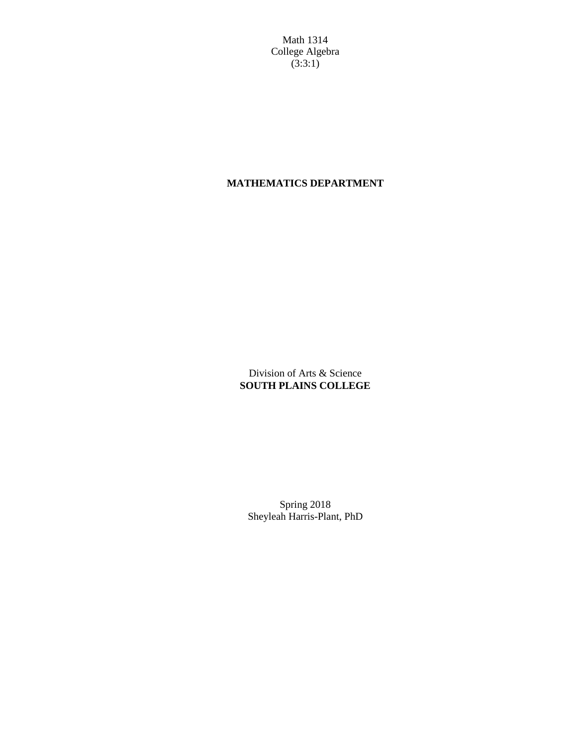Math 1314 College Algebra  $(3:3:1)$ 

# **MATHEMATICS DEPARTMENT**

Division of Arts & Science **SOUTH PLAINS COLLEGE**

Spring 2018 Sheyleah Harris-Plant, PhD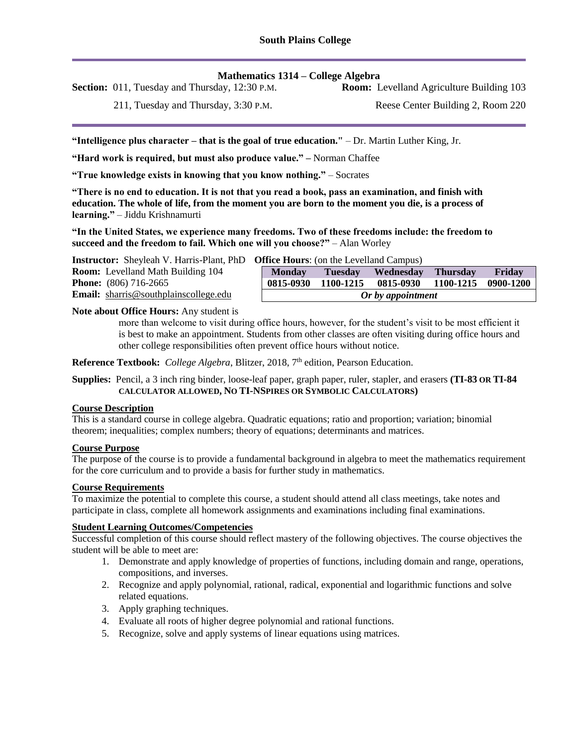## **Mathematics 1314 – College Algebra**

**Section:** 011, Tuesday and Thursday, 12:30 P.M. **Room:** Levelland Agriculture Building 103

211, Tuesday and Thursday, 3:30 P.M.

Reese Center Building 2, Room 220

**"Intelligence plus character – that is the goal of true education."** – Dr. Martin Luther King, Jr.

**"Hard work is required, but must also produce value." –** Norman Chaffee

**"True knowledge exists in knowing that you know nothing."** – Socrates

**"There is no end to education. It is not that you read a book, pass an examination, and finish with education. The whole of life, from the moment you are born to the moment you die, is a process of learning."** – Jiddu Krishnamurti

**"In the United States, we experience many freedoms. Two of these freedoms include: the freedom to succeed and the freedom to fail. Which one will you choose?"** – Alan Worley

**Instructor:** Sheyleah V. Harris-Plant, PhD **Office Hours**: (on the Levelland Campus)

| <b>Room:</b> Levelland Math Building 104 | $\bf Mo$ |
|------------------------------------------|----------|
| <b>Phone:</b> $(806)$ 716-2665           | 0815     |
| Email: sharris@southplainscollege.edu    |          |

| Or by appointment                               |                |                  |                 |           |
|-------------------------------------------------|----------------|------------------|-----------------|-----------|
| 0815-0930                                       | 1100-1215      | 0815-0930        | 1100-1215       | 0900-1200 |
| <b>Monday</b>                                   | <b>Tuesday</b> | <b>Wednesday</b> | <b>Thursday</b> | Friday    |
| <b>JIHCE HOULE</b> S: (On the Levelland Campus) |                |                  |                 |           |

#### **Note about Office Hours:** Any student is

more than welcome to visit during office hours, however, for the student's visit to be most efficient it is best to make an appointment. Students from other classes are often visiting during office hours and other college responsibilities often prevent office hours without notice.

Reference Textbook: College Algebra, Blitzer, 2018, 7<sup>th</sup> edition, Pearson Education.

**Supplies:** Pencil, a 3 inch ring binder, loose-leaf paper, graph paper, ruler, stapler, and erasers **(TI-83 OR TI-84 CALCULATOR ALLOWED, NO TI-NSPIRES OR SYMBOLIC CALCULATORS)**

#### **Course Description**

This is a standard course in college algebra. Quadratic equations; ratio and proportion; variation; binomial theorem; inequalities; complex numbers; theory of equations; determinants and matrices.

## **Course Purpose**

The purpose of the course is to provide a fundamental background in algebra to meet the mathematics requirement for the core curriculum and to provide a basis for further study in mathematics.

#### **Course Requirements**

To maximize the potential to complete this course, a student should attend all class meetings, take notes and participate in class, complete all homework assignments and examinations including final examinations.

### **Student Learning Outcomes/Competencies**

Successful completion of this course should reflect mastery of the following objectives. The course objectives the student will be able to meet are:

- 1. Demonstrate and apply knowledge of properties of functions, including domain and range, operations, compositions, and inverses.
- 2. Recognize and apply polynomial, rational, radical, exponential and logarithmic functions and solve related equations.
- 3. Apply graphing techniques.
- 4. Evaluate all roots of higher degree polynomial and rational functions.
- 5. Recognize, solve and apply systems of linear equations using matrices.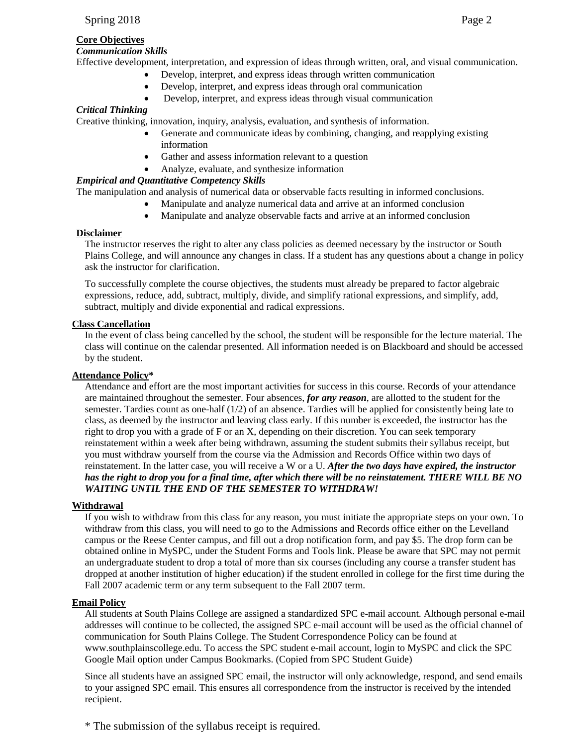## **Core Objectives**

## *Communication Skills*

Effective development, interpretation, and expression of ideas through written, oral, and visual communication.

- Develop, interpret, and express ideas through written communication
	- Develop, interpret, and express ideas through oral communication
	- Develop, interpret, and express ideas through visual communication

# *Critical Thinking*

Creative thinking, innovation, inquiry, analysis, evaluation, and synthesis of information.

- Generate and communicate ideas by combining, changing, and reapplying existing information
- Gather and assess information relevant to a question
- Analyze, evaluate, and synthesize information

## *Empirical and Quantitative Competency Skills*

The manipulation and analysis of numerical data or observable facts resulting in informed conclusions.

- Manipulate and analyze numerical data and arrive at an informed conclusion
- Manipulate and analyze observable facts and arrive at an informed conclusion

## **Disclaimer**

The instructor reserves the right to alter any class policies as deemed necessary by the instructor or South Plains College, and will announce any changes in class. If a student has any questions about a change in policy ask the instructor for clarification.

To successfully complete the course objectives, the students must already be prepared to factor algebraic expressions, reduce, add, subtract, multiply, divide, and simplify rational expressions, and simplify, add, subtract, multiply and divide exponential and radical expressions.

## **Class Cancellation**

In the event of class being cancelled by the school, the student will be responsible for the lecture material. The class will continue on the calendar presented. All information needed is on Blackboard and should be accessed by the student.

## **Attendance Policy\***

Attendance and effort are the most important activities for success in this course. Records of your attendance are maintained throughout the semester. Four absences, *for any reason*, are allotted to the student for the semester. Tardies count as one-half (1/2) of an absence. Tardies will be applied for consistently being late to class, as deemed by the instructor and leaving class early. If this number is exceeded, the instructor has the right to drop you with a grade of F or an X, depending on their discretion. You can seek temporary reinstatement within a week after being withdrawn, assuming the student submits their syllabus receipt, but you must withdraw yourself from the course via the Admission and Records Office within two days of reinstatement. In the latter case, you will receive a W or a U. *After the two days have expired, the instructor has the right to drop you for a final time, after which there will be no reinstatement. THERE WILL BE NO WAITING UNTIL THE END OF THE SEMESTER TO WITHDRAW!*

## **Withdrawal**

If you wish to withdraw from this class for any reason, you must initiate the appropriate steps on your own. To withdraw from this class, you will need to go to the Admissions and Records office either on the Levelland campus or the Reese Center campus, and fill out a drop notification form, and pay \$5. The drop form can be obtained online in MySPC, under the Student Forms and Tools link. Please be aware that SPC may not permit an undergraduate student to drop a total of more than six courses (including any course a transfer student has dropped at another institution of higher education) if the student enrolled in college for the first time during the Fall 2007 academic term or any term subsequent to the Fall 2007 term.

## **Email Policy**

All students at South Plains College are assigned a standardized SPC e-mail account. Although personal e-mail addresses will continue to be collected, the assigned SPC e-mail account will be used as the official channel of communication for South Plains College. The Student Correspondence Policy can be found at www.southplainscollege.edu. To access the SPC student e-mail account, login to MySPC and click the SPC Google Mail option under Campus Bookmarks. (Copied from SPC Student Guide)

Since all students have an assigned SPC email, the instructor will only acknowledge, respond, and send emails to your assigned SPC email. This ensures all correspondence from the instructor is received by the intended recipient.

\* The submission of the syllabus receipt is required.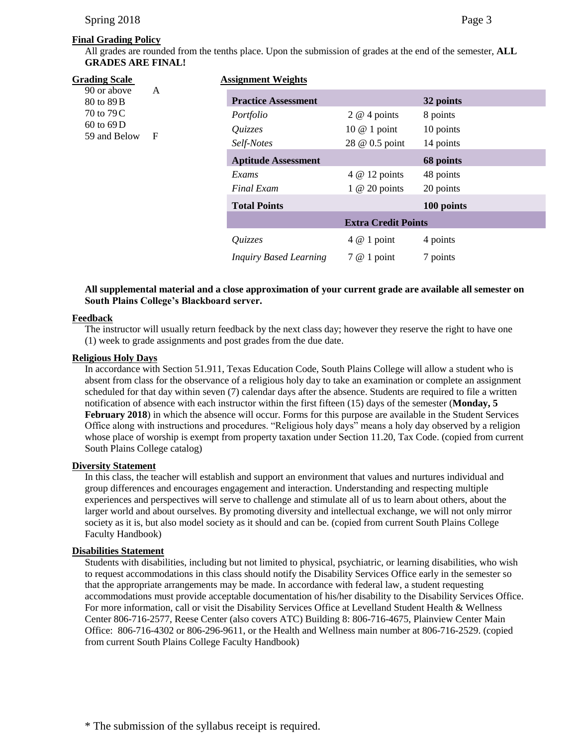## **Final Grading Policy**

All grades are rounded from the tenths place. Upon the submission of grades at the end of the semester, **ALL GRADES ARE FINAL!**

| Grading Scale             |     | <b>Assignment Weights</b>     |                     |            |
|---------------------------|-----|-------------------------------|---------------------|------------|
| 90 or above<br>80 to 89 B | A   | <b>Practice Assessment</b>    |                     | 32 points  |
| 70 to 79 C                | - F | Portfolio                     | $2 \omega 4$ points | 8 points   |
| $60$ to $69$ D            |     | Quizzes                       | 10 $@$ 1 point      | 10 points  |
| 59 and Below              |     | Self-Notes                    | 28 @ 0.5 point      | 14 points  |
|                           |     | <b>Aptitude Assessment</b>    |                     | 68 points  |
|                           |     | Exams                         | 4 @ 12 points       | 48 points  |
|                           |     | <b>Final Exam</b>             | $1 \t@ 20$ points   | 20 points  |
|                           |     | <b>Total Points</b>           |                     | 100 points |
|                           |     | <b>Extra Credit Points</b>    |                     |            |
|                           |     | Quizzes                       | $4 \& 1$ point      | 4 points   |
|                           |     | <b>Inquiry Based Learning</b> | $7@1$ point         | 7 points   |

## **All supplemental material and a close approximation of your current grade are available all semester on South Plains College's Blackboard server.**

### **Feedback**

The instructor will usually return feedback by the next class day; however they reserve the right to have one (1) week to grade assignments and post grades from the due date.

### **Religious Holy Days**

In accordance with Section 51.911, Texas Education Code, South Plains College will allow a student who is absent from class for the observance of a religious holy day to take an examination or complete an assignment scheduled for that day within seven (7) calendar days after the absence. Students are required to file a written notification of absence with each instructor within the first fifteen (15) days of the semester (**Monday, 5** February 2018) in which the absence will occur. Forms for this purpose are available in the Student Services Office along with instructions and procedures. "Religious holy days" means a holy day observed by a religion whose place of worship is exempt from property taxation under Section 11.20, Tax Code. (copied from current South Plains College catalog)

### **Diversity Statement**

In this class, the teacher will establish and support an environment that values and nurtures individual and group differences and encourages engagement and interaction. Understanding and respecting multiple experiences and perspectives will serve to challenge and stimulate all of us to learn about others, about the larger world and about ourselves. By promoting diversity and intellectual exchange, we will not only mirror society as it is, but also model society as it should and can be. (copied from current South Plains College Faculty Handbook)

### **Disabilities Statement**

Students with disabilities, including but not limited to physical, psychiatric, or learning disabilities, who wish to request accommodations in this class should notify the Disability Services Office early in the semester so that the appropriate arrangements may be made. In accordance with federal law, a student requesting accommodations must provide acceptable documentation of his/her disability to the Disability Services Office. For more information, call or visit the Disability Services Office at Levelland Student Health & Wellness Center 806-716-2577, Reese Center (also covers ATC) Building 8: 806-716-4675, Plainview Center Main Office: 806-716-4302 or 806-296-9611, or the Health and Wellness main number at 806-716-2529. (copied from current South Plains College Faculty Handbook)

# \* The submission of the syllabus receipt is required.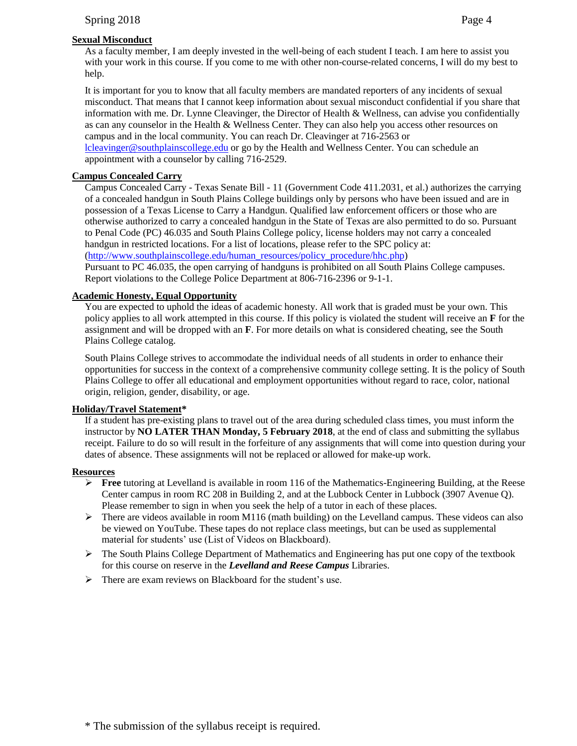## **Sexual Misconduct**

As a faculty member, I am deeply invested in the well-being of each student I teach. I am here to assist you with your work in this course. If you come to me with other non-course-related concerns, I will do my best to help.

It is important for you to know that all faculty members are mandated reporters of any incidents of sexual misconduct. That means that I cannot keep information about sexual misconduct confidential if you share that information with me. Dr. Lynne Cleavinger, the Director of Health & Wellness, can advise you confidentially as can any counselor in the Health & Wellness Center. They can also help you access other resources on campus and in the local community. You can reach Dr. Cleavinger at 716-2563 or

[lcleavinger@southplainscollege.edu](mailto:lcleavinger@southplainscollege.edu) or go by the Health and Wellness Center. You can schedule an appointment with a counselor by calling 716-2529.

## **Campus Concealed Carry**

Campus Concealed Carry - Texas Senate Bill - 11 (Government Code 411.2031, et al.) authorizes the carrying of a concealed handgun in South Plains College buildings only by persons who have been issued and are in possession of a Texas License to Carry a Handgun. Qualified law enforcement officers or those who are otherwise authorized to carry a concealed handgun in the State of Texas are also permitted to do so. Pursuant to Penal Code (PC) 46.035 and South Plains College policy, license holders may not carry a concealed handgun in restricted locations. For a list of locations, please refer to the SPC policy at: [\(http://www.southplainscollege.edu/human\\_resources/policy\\_procedure/hhc.php\)](http://www.southplainscollege.edu/human_resources/policy_procedure/hhc.php)

Pursuant to PC 46.035, the open carrying of handguns is prohibited on all South Plains College campuses. Report violations to the College Police Department at 806-716-2396 or 9-1-1.

## **Academic Honesty, Equal Opportunity**

You are expected to uphold the ideas of academic honesty. All work that is graded must be your own. This policy applies to all work attempted in this course. If this policy is violated the student will receive an **F** for the assignment and will be dropped with an **F**. For more details on what is considered cheating, see the South Plains College catalog.

South Plains College strives to accommodate the individual needs of all students in order to enhance their opportunities for success in the context of a comprehensive community college setting. It is the policy of South Plains College to offer all educational and employment opportunities without regard to race, color, national origin, religion, gender, disability, or age.

## **Holiday/Travel Statement\***

If a student has pre-existing plans to travel out of the area during scheduled class times, you must inform the instructor by **NO LATER THAN Monday, 5 February 2018**, at the end of class and submitting the syllabus receipt. Failure to do so will result in the forfeiture of any assignments that will come into question during your dates of absence. These assignments will not be replaced or allowed for make-up work.

## **Resources**

- **Free** tutoring at Levelland is available in room 116 of the Mathematics-Engineering Building, at the Reese Center campus in room RC 208 in Building 2, and at the Lubbock Center in Lubbock (3907 Avenue Q). Please remember to sign in when you seek the help of a tutor in each of these places.
- $\triangleright$  There are videos available in room M116 (math building) on the Levelland campus. These videos can also be viewed on YouTube. These tapes do not replace class meetings, but can be used as supplemental material for students' use (List of Videos on Blackboard).
- $\triangleright$  The South Plains College Department of Mathematics and Engineering has put one copy of the textbook for this course on reserve in the *Levelland and Reese Campus* Libraries.
- $\triangleright$  There are exam reviews on Blackboard for the student's use.

\* The submission of the syllabus receipt is required.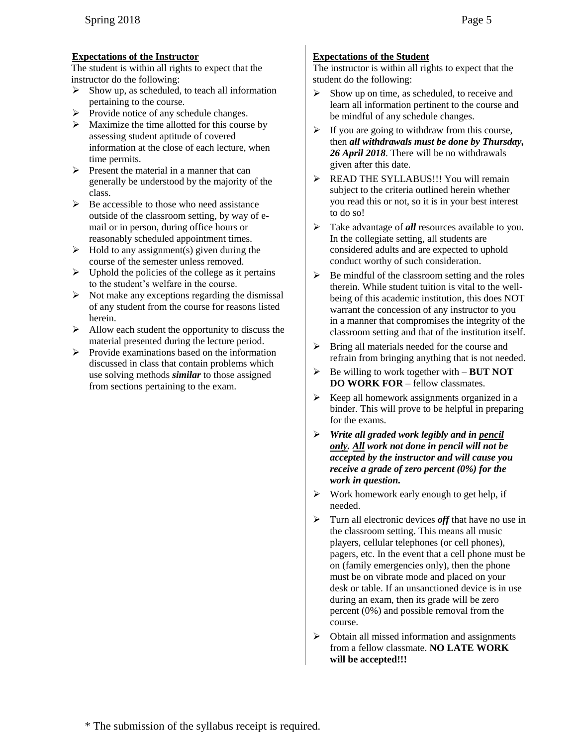## **Expectations of the Instructor**

The student is within all rights to expect that the instructor do the following:

- $\triangleright$  Show up, as scheduled, to teach all information pertaining to the course.
- Provide notice of any schedule changes.<br>  $\triangleright$  Maximize the time allotted for this cours
- Maximize the time allotted for this course by assessing student aptitude of covered information at the close of each lecture, when time permits.
- $\triangleright$  Present the material in a manner that can generally be understood by the majority of the class.
- $\triangleright$  Be accessible to those who need assistance outside of the classroom setting, by way of email or in person, during office hours or reasonably scheduled appointment times.
- $\triangleright$  Hold to any assignment(s) given during the course of the semester unless removed.
- $\triangleright$  Uphold the policies of the college as it pertains to the student's welfare in the course.
- $\triangleright$  Not make any exceptions regarding the dismissal of any student from the course for reasons listed herein.
- $\triangleright$  Allow each student the opportunity to discuss the material presented during the lecture period.
- $\triangleright$  Provide examinations based on the information discussed in class that contain problems which use solving methods *similar* to those assigned from sections pertaining to the exam.

# **Expectations of the Student**

The instructor is within all rights to expect that the student do the following:

- $\triangleright$  Show up on time, as scheduled, to receive and learn all information pertinent to the course and be mindful of any schedule changes.
- $\triangleright$  If you are going to withdraw from this course, then *all withdrawals must be done by Thursday, 26 April 2018*. There will be no withdrawals given after this date.
- EXP READ THE SYLLABUS!!! You will remain subject to the criteria outlined herein whether you read this or not, so it is in your best interest to do so!
- > Take advantage of **all** resources available to you. In the collegiate setting, all students are considered adults and are expected to uphold conduct worthy of such consideration.
- $\triangleright$  Be mindful of the classroom setting and the roles therein. While student tuition is vital to the wellbeing of this academic institution, this does NOT warrant the concession of any instructor to you in a manner that compromises the integrity of the classroom setting and that of the institution itself.
- Bring all materials needed for the course and refrain from bringing anything that is not needed.
- Be willing to work together with **BUT NOT DO WORK FOR** – fellow classmates.
- $\triangleright$  Keep all homework assignments organized in a binder. This will prove to be helpful in preparing for the exams.
- *Write all graded work legibly and in pencil only. All work not done in pencil will not be accepted by the instructor and will cause you receive a grade of zero percent (0%) for the work in question.*
- $\triangleright$  Work homework early enough to get help, if needed.
- Turn all electronic devices *off* that have no use in the classroom setting. This means all music players, cellular telephones (or cell phones), pagers, etc. In the event that a cell phone must be on (family emergencies only), then the phone must be on vibrate mode and placed on your desk or table. If an unsanctioned device is in use during an exam, then its grade will be zero percent (0%) and possible removal from the course.
- Obtain all missed information and assignments from a fellow classmate. **NO LATE WORK will be accepted!!!**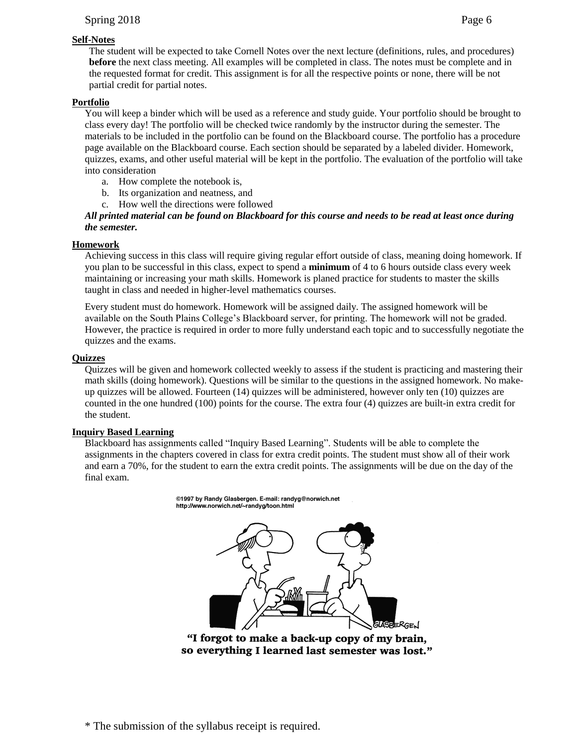## Spring 2018 Page 6

## **Self-Notes**

The student will be expected to take Cornell Notes over the next lecture (definitions, rules, and procedures) **before** the next class meeting. All examples will be completed in class. The notes must be complete and in the requested format for credit. This assignment is for all the respective points or none, there will be not partial credit for partial notes.

## **Portfolio**

You will keep a binder which will be used as a reference and study guide. Your portfolio should be brought to class every day! The portfolio will be checked twice randomly by the instructor during the semester. The materials to be included in the portfolio can be found on the Blackboard course. The portfolio has a procedure page available on the Blackboard course. Each section should be separated by a labeled divider. Homework, quizzes, exams, and other useful material will be kept in the portfolio. The evaluation of the portfolio will take into consideration

- a. How complete the notebook is,
- b. Its organization and neatness, and
- c. How well the directions were followed

### *All printed material can be found on Blackboard for this course and needs to be read at least once during the semester.*

### **Homework**

Achieving success in this class will require giving regular effort outside of class, meaning doing homework. If you plan to be successful in this class, expect to spend a **minimum** of 4 to 6 hours outside class every week maintaining or increasing your math skills. Homework is planed practice for students to master the skills taught in class and needed in higher-level mathematics courses.

Every student must do homework. Homework will be assigned daily. The assigned homework will be available on the South Plains College's Blackboard server, for printing. The homework will not be graded. However, the practice is required in order to more fully understand each topic and to successfully negotiate the quizzes and the exams.

### **Quizzes**

Quizzes will be given and homework collected weekly to assess if the student is practicing and mastering their math skills (doing homework). Questions will be similar to the questions in the assigned homework. No makeup quizzes will be allowed. Fourteen (14) quizzes will be administered, however only ten (10) quizzes are counted in the one hundred (100) points for the course. The extra four (4) quizzes are built-in extra credit for the student.

### **Inquiry Based Learning**

Blackboard has assignments called "Inquiry Based Learning". Students will be able to complete the assignments in the chapters covered in class for extra credit points. The student must show all of their work and earn a 70%, for the student to earn the extra credit points. The assignments will be due on the day of the final exam.

> @1997 by Randy Glasbergen. E-mail: randyg@norwich.net http://www.norwich.net/~randyg/toon.html



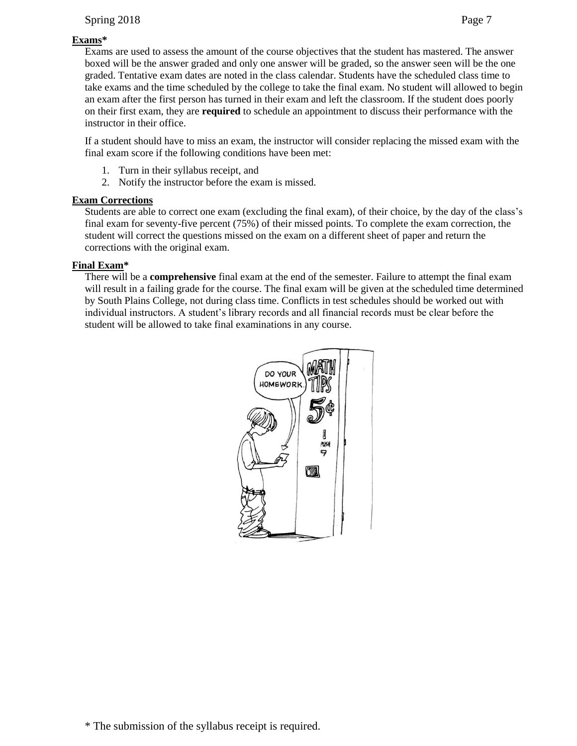# Spring 2018 Page 7

# **Exams\***

Exams are used to assess the amount of the course objectives that the student has mastered. The answer boxed will be the answer graded and only one answer will be graded, so the answer seen will be the one graded. Tentative exam dates are noted in the class calendar. Students have the scheduled class time to take exams and the time scheduled by the college to take the final exam. No student will allowed to begin an exam after the first person has turned in their exam and left the classroom. If the student does poorly on their first exam, they are **required** to schedule an appointment to discuss their performance with the instructor in their office.

If a student should have to miss an exam, the instructor will consider replacing the missed exam with the final exam score if the following conditions have been met:

- 1. Turn in their syllabus receipt, and
- 2. Notify the instructor before the exam is missed.

# **Exam Corrections**

Students are able to correct one exam (excluding the final exam), of their choice, by the day of the class's final exam for seventy-five percent (75%) of their missed points. To complete the exam correction, the student will correct the questions missed on the exam on a different sheet of paper and return the corrections with the original exam.

# **Final Exam\***

There will be a **comprehensive** final exam at the end of the semester. Failure to attempt the final exam will result in a failing grade for the course. The final exam will be given at the scheduled time determined by South Plains College, not during class time. Conflicts in test schedules should be worked out with individual instructors. A student's library records and all financial records must be clear before the student will be allowed to take final examinations in any course.

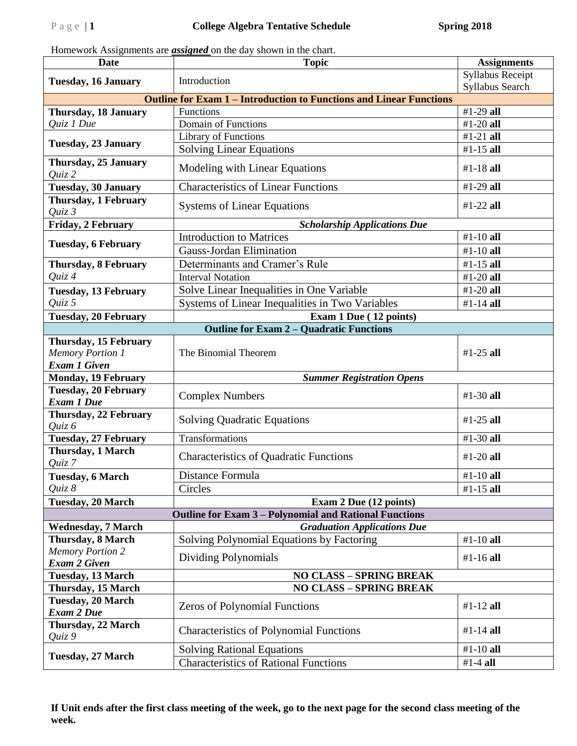Homework Assignments are *assigned* on the day shown in the chart.

| <b>Date</b>                                      | <b>Topic</b>                                                               | <b>Assignments</b>                  |  |
|--------------------------------------------------|----------------------------------------------------------------------------|-------------------------------------|--|
| <b>Tuesday, 16 January</b>                       | Introduction                                                               | Syllabus Receipt<br>Syllabus Search |  |
|                                                  | <b>Outline for Exam 1 – Introduction to Functions and Linear Functions</b> |                                     |  |
| <b>Thursday, 18 January</b>                      | Functions                                                                  | #1-29 all                           |  |
| Quiz 1 Due                                       | Domain of Functions                                                        | #1-20 all                           |  |
| <b>Tuesday, 23 January</b>                       | Library of Functions                                                       | #1-21 $all$                         |  |
|                                                  | <b>Solving Linear Equations</b>                                            | #1-15 all                           |  |
| Thursday, 25 January<br>Quiz 2                   | Modeling with Linear Equations                                             | #1-18 all                           |  |
| <b>Tuesday, 30 January</b>                       | <b>Characteristics of Linear Functions</b>                                 | #1-29 all                           |  |
| Thursday, 1 February<br>$Quiz$ 3                 | <b>Systems of Linear Equations</b>                                         | $#1-22$ all                         |  |
| Friday, 2 February                               | <b>Scholarship Applications Due</b>                                        |                                     |  |
|                                                  | <b>Introduction to Matrices</b>                                            | #1-10 $all$                         |  |
| <b>Tuesday, 6 February</b>                       | Gauss-Jordan Elimination                                                   | #1-10 all                           |  |
| <b>Thursday, 8 February</b>                      | Determinants and Cramer's Rule                                             | #1-15 $all$                         |  |
| Quiz 4                                           | <b>Interval Notation</b>                                                   | #1-20 $all$                         |  |
| <b>Tuesday, 13 February</b>                      | Solve Linear Inequalities in One Variable                                  | $#1-20$ all                         |  |
| Quiz 5                                           | Systems of Linear Inequalities in Two Variables                            | #1-14 all                           |  |
| Tuesday, 20 February                             | Exam 1 Due (12 points)                                                     |                                     |  |
|                                                  | <b>Outline for Exam 2 – Quadratic Functions</b>                            |                                     |  |
| Thursday, 15 February                            |                                                                            |                                     |  |
| <b>Memory Portion 1</b>                          | The Binomial Theorem                                                       | $#1-25$ all                         |  |
| <b>Exam 1 Given</b>                              |                                                                            |                                     |  |
|                                                  | Monday, 19 February<br><b>Summer Registration Opens</b>                    |                                     |  |
| <b>Tuesday, 20 February</b>                      | <b>Complex Numbers</b>                                                     | $#1-30$ all                         |  |
| <b>Exam 1 Due</b>                                |                                                                            |                                     |  |
| Thursday, 22 February                            | <b>Solving Quadratic Equations</b>                                         | #1-25 all                           |  |
| Quiz 6                                           | Transformations                                                            | #1-30 all                           |  |
| <b>Tuesday, 27 February</b><br>Thursday, 1 March |                                                                            |                                     |  |
| Quiz 7                                           | <b>Characteristics of Quadratic Functions</b>                              | $#1-20$ all                         |  |
| Tuesday, 6 March                                 | Distance Formula                                                           | #1-10 all                           |  |
| Quiz 8                                           | Circles                                                                    | #1-15 all                           |  |
| <b>Tuesday, 20 March</b>                         | Exam 2 Due (12 points)                                                     |                                     |  |
|                                                  | <b>Outline for Exam 3 – Polynomial and Rational Functions</b>              |                                     |  |
| <b>Wednesday, 7 March</b>                        | <b>Graduation Applications Due</b>                                         |                                     |  |
| Thursday, 8 March                                | Solving Polynomial Equations by Factoring                                  | #1-10 all                           |  |
| <b>Memory Portion 2</b><br><b>Exam 2 Given</b>   | Dividing Polynomials                                                       | #1-16 all                           |  |
| <b>Tuesday, 13 March</b>                         | <b>NO CLASS - SPRING BREAK</b>                                             |                                     |  |
| Thursday, 15 March                               | <b>NO CLASS - SPRING BREAK</b>                                             |                                     |  |
| <b>Tuesday, 20 March</b><br><b>Exam 2 Due</b>    | <b>Zeros of Polynomial Functions</b>                                       | $#1-12$ all                         |  |
| Thursday, 22 March<br>Quiz 9                     | <b>Characteristics of Polynomial Functions</b>                             | #1-14 all                           |  |
|                                                  | <b>Solving Rational Equations</b>                                          | #1-10 all                           |  |
| <b>Tuesday, 27 March</b>                         | <b>Characteristics of Rational Functions</b>                               | #1-4 all                            |  |

**If Unit ends after the first class meeting of the week, go to the next page for the second class meeting of the week.**